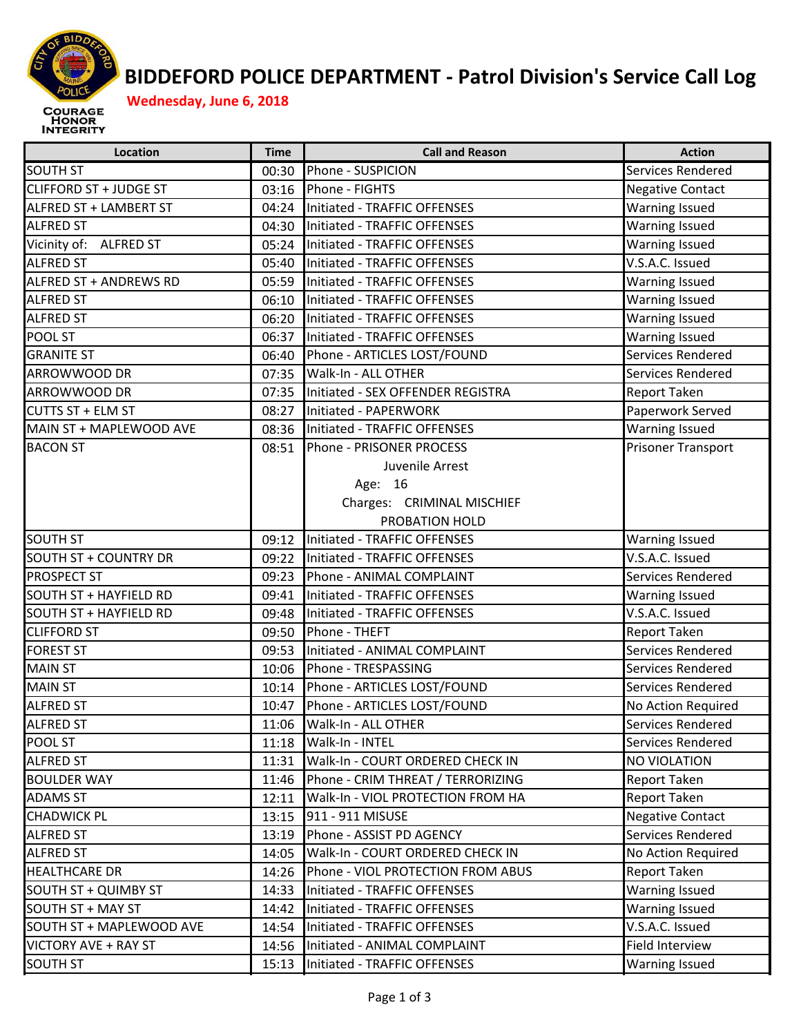

## **BIDDEFORD POLICE DEPARTMENT ‐ Patrol Division's Service Call Log**

| <b>SOUTH ST</b><br>00:30<br>Phone - SUSPICION                          |                          |
|------------------------------------------------------------------------|--------------------------|
|                                                                        | Services Rendered        |
| <b>CLIFFORD ST + JUDGE ST</b><br>Phone - FIGHTS<br>03:16               | <b>Negative Contact</b>  |
| ALFRED ST + LAMBERT ST<br>04:24<br>Initiated - TRAFFIC OFFENSES        | <b>Warning Issued</b>    |
| <b>ALFRED ST</b><br>Initiated - TRAFFIC OFFENSES<br>04:30              | <b>Warning Issued</b>    |
| Vicinity of: ALFRED ST<br>05:24<br>Initiated - TRAFFIC OFFENSES        | <b>Warning Issued</b>    |
| <b>ALFRED ST</b><br>Initiated - TRAFFIC OFFENSES<br>05:40              | V.S.A.C. Issued          |
| ALFRED ST + ANDREWS RD<br>Initiated - TRAFFIC OFFENSES<br>05:59        | <b>Warning Issued</b>    |
| <b>ALFRED ST</b><br>06:10<br>Initiated - TRAFFIC OFFENSES              | <b>Warning Issued</b>    |
| <b>ALFRED ST</b><br>Initiated - TRAFFIC OFFENSES<br>06:20              | <b>Warning Issued</b>    |
| POOL ST<br>06:37<br>Initiated - TRAFFIC OFFENSES                       | <b>Warning Issued</b>    |
| <b>GRANITE ST</b><br>Phone - ARTICLES LOST/FOUND<br>06:40              | Services Rendered        |
| ARROWWOOD DR<br>Walk-In - ALL OTHER<br>07:35                           | Services Rendered        |
| ARROWWOOD DR<br>07:35<br>Initiated - SEX OFFENDER REGISTRA             | <b>Report Taken</b>      |
| <b>CUTTS ST + ELM ST</b><br>08:27<br>Initiated - PAPERWORK             | Paperwork Served         |
| MAIN ST + MAPLEWOOD AVE<br>Initiated - TRAFFIC OFFENSES<br>08:36       | <b>Warning Issued</b>    |
| <b>BACON ST</b><br>Phone - PRISONER PROCESS<br>08:51                   | Prisoner Transport       |
| Juvenile Arrest                                                        |                          |
| Age: 16                                                                |                          |
| Charges: CRIMINAL MISCHIEF                                             |                          |
| PROBATION HOLD                                                         |                          |
| <b>SOUTH ST</b><br>Initiated - TRAFFIC OFFENSES<br>09:12               | <b>Warning Issued</b>    |
| <b>SOUTH ST + COUNTRY DR</b><br>09:22<br>Initiated - TRAFFIC OFFENSES  | V.S.A.C. Issued          |
| 09:23<br>Phone - ANIMAL COMPLAINT<br><b>PROSPECT ST</b>                | Services Rendered        |
| <b>SOUTH ST + HAYFIELD RD</b><br>Initiated - TRAFFIC OFFENSES<br>09:41 | <b>Warning Issued</b>    |
| <b>SOUTH ST + HAYFIELD RD</b><br>Initiated - TRAFFIC OFFENSES<br>09:48 | V.S.A.C. Issued          |
| <b>CLIFFORD ST</b><br>Phone - THEFT<br>09:50                           | Report Taken             |
| <b>FOREST ST</b><br>Initiated - ANIMAL COMPLAINT<br>09:53              | Services Rendered        |
| <b>MAIN ST</b><br>10:06<br>Phone - TRESPASSING                         | Services Rendered        |
| <b>MAIN ST</b><br>Phone - ARTICLES LOST/FOUND<br>10:14                 | Services Rendered        |
| <b>ALFRED ST</b><br>Phone - ARTICLES LOST/FOUND<br>10:47               | No Action Required       |
| <b>ALFRED ST</b><br>Walk-In - ALL OTHER<br>11:06                       | <b>Services Rendered</b> |
| POOL ST<br>Walk-In - INTEL<br>11:18                                    | Services Rendered        |
| <b>ALFRED ST</b><br>Walk-In - COURT ORDERED CHECK IN<br>11:31          | <b>NO VIOLATION</b>      |
| <b>BOULDER WAY</b><br>Phone - CRIM THREAT / TERRORIZING<br>11:46       | <b>Report Taken</b>      |
| <b>ADAMS ST</b><br>Walk-In - VIOL PROTECTION FROM HA<br>12:11          | <b>Report Taken</b>      |
| <b>CHADWICK PL</b><br>911 - 911 MISUSE<br>13:15                        | <b>Negative Contact</b>  |
| <b>ALFRED ST</b><br>Phone - ASSIST PD AGENCY<br>13:19                  | Services Rendered        |
| <b>ALFRED ST</b><br>Walk-In - COURT ORDERED CHECK IN<br>14:05          | No Action Required       |
| <b>HEALTHCARE DR</b><br>Phone - VIOL PROTECTION FROM ABUS<br>14:26     | Report Taken             |
| SOUTH ST + QUIMBY ST<br>Initiated - TRAFFIC OFFENSES<br>14:33          | <b>Warning Issued</b>    |
| SOUTH ST + MAY ST<br>Initiated - TRAFFIC OFFENSES<br>14:42             | <b>Warning Issued</b>    |
| SOUTH ST + MAPLEWOOD AVE<br>14:54<br>Initiated - TRAFFIC OFFENSES      | V.S.A.C. Issued          |
| <b>VICTORY AVE + RAY ST</b><br>14:56<br>Initiated - ANIMAL COMPLAINT   | Field Interview          |
| <b>SOUTH ST</b><br>Initiated - TRAFFIC OFFENSES<br>15:13               | <b>Warning Issued</b>    |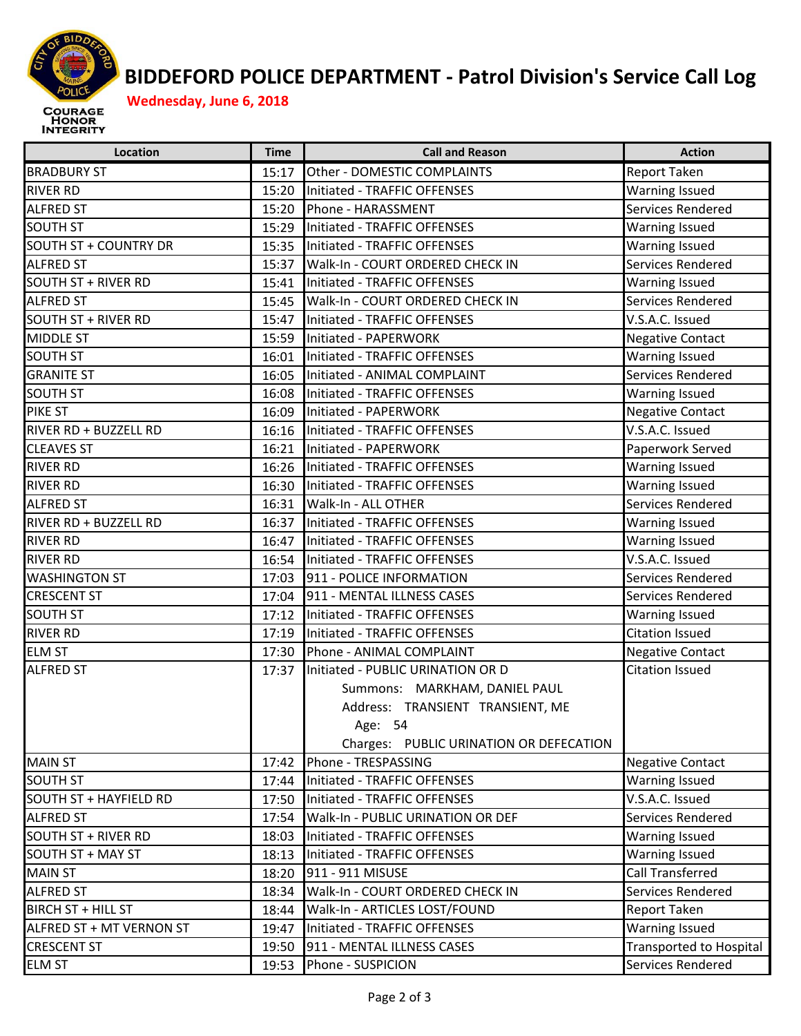

## **BIDDEFORD POLICE DEPARTMENT ‐ Patrol Division's Service Call Log**

| Location                     | <b>Time</b> | <b>Call and Reason</b>                  | <b>Action</b>           |
|------------------------------|-------------|-----------------------------------------|-------------------------|
| <b>BRADBURY ST</b>           | 15:17       | Other - DOMESTIC COMPLAINTS             | Report Taken            |
| <b>RIVER RD</b>              | 15:20       | Initiated - TRAFFIC OFFENSES            | <b>Warning Issued</b>   |
| <b>ALFRED ST</b>             | 15:20       | Phone - HARASSMENT                      | Services Rendered       |
| <b>SOUTH ST</b>              | 15:29       | Initiated - TRAFFIC OFFENSES            | <b>Warning Issued</b>   |
| <b>SOUTH ST + COUNTRY DR</b> | 15:35       | Initiated - TRAFFIC OFFENSES            | <b>Warning Issued</b>   |
| <b>ALFRED ST</b>             | 15:37       | Walk-In - COURT ORDERED CHECK IN        | Services Rendered       |
| SOUTH ST + RIVER RD          | 15:41       | Initiated - TRAFFIC OFFENSES            | <b>Warning Issued</b>   |
| <b>ALFRED ST</b>             | 15:45       | Walk-In - COURT ORDERED CHECK IN        | Services Rendered       |
| <b>SOUTH ST + RIVER RD</b>   | 15:47       | Initiated - TRAFFIC OFFENSES            | V.S.A.C. Issued         |
| <b>MIDDLE ST</b>             | 15:59       | Initiated - PAPERWORK                   | <b>Negative Contact</b> |
| <b>SOUTH ST</b>              | 16:01       | Initiated - TRAFFIC OFFENSES            | <b>Warning Issued</b>   |
| <b>GRANITE ST</b>            | 16:05       | Initiated - ANIMAL COMPLAINT            | Services Rendered       |
| <b>SOUTH ST</b>              | 16:08       | Initiated - TRAFFIC OFFENSES            | <b>Warning Issued</b>   |
| <b>PIKE ST</b>               | 16:09       | Initiated - PAPERWORK                   | <b>Negative Contact</b> |
| RIVER RD + BUZZELL RD        |             | 16:16 Initiated - TRAFFIC OFFENSES      | V.S.A.C. Issued         |
| <b>CLEAVES ST</b>            | 16:21       | Initiated - PAPERWORK                   | Paperwork Served        |
| <b>RIVER RD</b>              | 16:26       | Initiated - TRAFFIC OFFENSES            | Warning Issued          |
| <b>RIVER RD</b>              | 16:30       | Initiated - TRAFFIC OFFENSES            | <b>Warning Issued</b>   |
| <b>ALFRED ST</b>             | 16:31       | Walk-In - ALL OTHER                     | Services Rendered       |
| RIVER RD + BUZZELL RD        | 16:37       | Initiated - TRAFFIC OFFENSES            | <b>Warning Issued</b>   |
| <b>RIVER RD</b>              | 16:47       | Initiated - TRAFFIC OFFENSES            | <b>Warning Issued</b>   |
| <b>RIVER RD</b>              | 16:54       | Initiated - TRAFFIC OFFENSES            | V.S.A.C. Issued         |
| <b>WASHINGTON ST</b>         | 17:03       | 911 - POLICE INFORMATION                | Services Rendered       |
| <b>CRESCENT ST</b>           | 17:04       | 911 - MENTAL ILLNESS CASES              | Services Rendered       |
| <b>SOUTH ST</b>              | 17:12       | Initiated - TRAFFIC OFFENSES            | Warning Issued          |
| <b>RIVER RD</b>              | 17:19       | Initiated - TRAFFIC OFFENSES            | <b>Citation Issued</b>  |
| <b>ELM ST</b>                | 17:30       | Phone - ANIMAL COMPLAINT                | <b>Negative Contact</b> |
| <b>ALFRED ST</b>             | 17:37       | Initiated - PUBLIC URINATION OR D       | <b>Citation Issued</b>  |
|                              |             | Summons: MARKHAM, DANIEL PAUL           |                         |
|                              |             | Address: TRANSIENT TRANSIENT, ME        |                         |
|                              |             | Age: 54                                 |                         |
|                              |             | Charges: PUBLIC URINATION OR DEFECATION |                         |
| <b>MAIN ST</b>               | 17:42       | Phone - TRESPASSING                     | <b>Negative Contact</b> |
| <b>SOUTH ST</b>              | 17:44       | Initiated - TRAFFIC OFFENSES            | Warning Issued          |
| SOUTH ST + HAYFIELD RD       | 17:50       | Initiated - TRAFFIC OFFENSES            | V.S.A.C. Issued         |
| <b>ALFRED ST</b>             | 17:54       | Walk-In - PUBLIC URINATION OR DEF       | Services Rendered       |
| <b>SOUTH ST + RIVER RD</b>   | 18:03       | Initiated - TRAFFIC OFFENSES            | Warning Issued          |
| SOUTH ST + MAY ST            | 18:13       | Initiated - TRAFFIC OFFENSES            | Warning Issued          |
| <b>MAIN ST</b>               | 18:20       | 911 - 911 MISUSE                        | Call Transferred        |
| <b>ALFRED ST</b>             | 18:34       | Walk-In - COURT ORDERED CHECK IN        | Services Rendered       |
| BIRCH ST + HILL ST           | 18:44       | Walk-In - ARTICLES LOST/FOUND           | Report Taken            |
| ALFRED ST + MT VERNON ST     | 19:47       | Initiated - TRAFFIC OFFENSES            | Warning Issued          |
| <b>CRESCENT ST</b>           | 19:50       | 911 - MENTAL ILLNESS CASES              | Transported to Hospital |
| <b>ELM ST</b>                | 19:53       | Phone - SUSPICION                       | Services Rendered       |